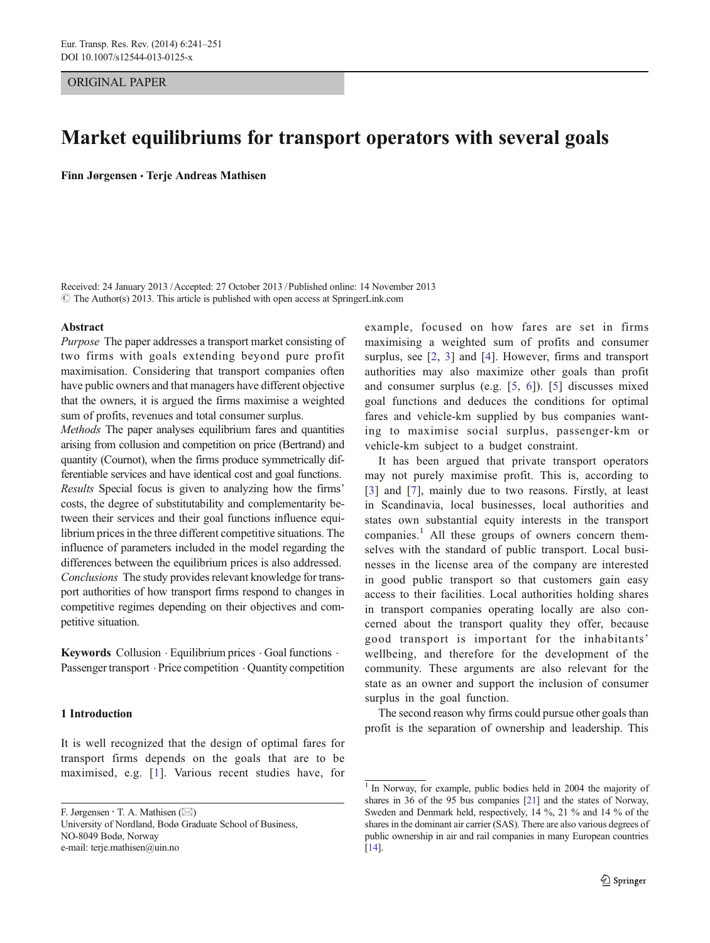## ORIGINAL PAPER

# Market equilibriums for transport operators with several goals

Finn Jørgensen · Terje Andreas Mathisen

Received: 24 January 2013 /Accepted: 27 October 2013 /Published online: 14 November 2013  $\odot$  The Author(s) 2013. This article is published with open access at SpringerLink.com

#### Abstract

Purpose The paper addresses a transport market consisting of two firms with goals extending beyond pure profit maximisation. Considering that transport companies often have public owners and that managers have different objective that the owners, it is argued the firms maximise a weighted sum of profits, revenues and total consumer surplus.

Methods The paper analyses equilibrium fares and quantities arising from collusion and competition on price (Bertrand) and quantity (Cournot), when the firms produce symmetrically differentiable services and have identical cost and goal functions. Results Special focus is given to analyzing how the firms' costs, the degree of substitutability and complementarity between their services and their goal functions influence equilibrium prices in the three different competitive situations. The influence of parameters included in the model regarding the differences between the equilibrium prices is also addressed. Conclusions The study provides relevant knowledge for transport authorities of how transport firms respond to changes in competitive regimes depending on their objectives and competitive situation.

**Keywords** Collusion  $\cdot$  Equilibrium prices  $\cdot$  Goal functions  $\cdot$ Passenger transport  $\cdot$  Price competition  $\cdot$  Quantity competition

# 1 Introduction

It is well recognized that the design of optimal fares for transport firms depends on the goals that are to be maximised, e.g. [[1](#page-9-0)]. Various recent studies have, for

F. Jørgensen  $\cdot$  T. A. Mathisen ( $\boxtimes$ ) University of Nordland, Bodø Graduate School of Business, NO-8049 Bodø, Norway e-mail: terje.mathisen@uin.no

example, focused on how fares are set in firms maximising a weighted sum of profits and consumer surplus, see [[2,](#page-9-0) [3](#page-9-0)] and [\[4](#page-9-0)]. However, firms and transport authorities may also maximize other goals than profit and consumer surplus (e.g. [\[5](#page-9-0), [6\]](#page-9-0)). [[5\]](#page-9-0) discusses mixed goal functions and deduces the conditions for optimal fares and vehicle-km supplied by bus companies wanting to maximise social surplus, passenger-km or vehicle-km subject to a budget constraint.

It has been argued that private transport operators may not purely maximise profit. This is, according to [\[3\]](#page-9-0) and [[7\]](#page-9-0), mainly due to two reasons. Firstly, at least in Scandinavia, local businesses, local authorities and states own substantial equity interests in the transport companies.<sup>1</sup> All these groups of owners concern themselves with the standard of public transport. Local businesses in the license area of the company are interested in good public transport so that customers gain easy access to their facilities. Local authorities holding shares in transport companies operating locally are also concerned about the transport quality they offer, because good transport is important for the inhabitants' wellbeing, and therefore for the development of the community. These arguments are also relevant for the state as an owner and support the inclusion of consumer surplus in the goal function.

The second reason why firms could pursue other goals than profit is the separation of ownership and leadership. This

<sup>&</sup>lt;sup>1</sup> In Norway, for example, public bodies held in 2004 the majority of shares in 36 of the 95 bus companies [\[21](#page-10-0)] and the states of Norway, Sweden and Denmark held, respectively, 14 %, 21 % and 14 % of the shares in the dominant air carrier (SAS). There are also various degrees of public ownership in air and rail companies in many European countries [[14](#page-10-0)].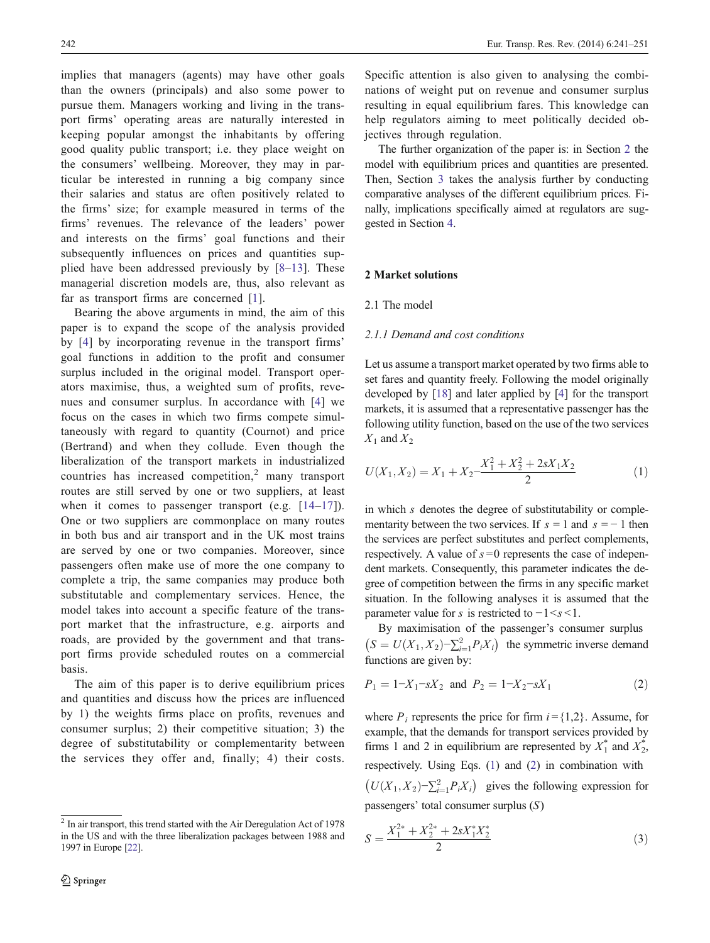<span id="page-1-0"></span>implies that managers (agents) may have other goals than the owners (principals) and also some power to pursue them. Managers working and living in the transport firms' operating areas are naturally interested in keeping popular amongst the inhabitants by offering good quality public transport; i.e. they place weight on the consumers' wellbeing. Moreover, they may in particular be interested in running a big company since their salaries and status are often positively related to the firms' size; for example measured in terms of the firms' revenues. The relevance of the leaders' power and interests on the firms' goal functions and their subsequently influences on prices and quantities supplied have been addressed previously by [\[8](#page-9-0)–[13](#page-9-0)]. These managerial discretion models are, thus, also relevant as far as transport firms are concerned [[1\]](#page-9-0).

Bearing the above arguments in mind, the aim of this paper is to expand the scope of the analysis provided by [\[4](#page-9-0)] by incorporating revenue in the transport firms' goal functions in addition to the profit and consumer surplus included in the original model. Transport operators maximise, thus, a weighted sum of profits, revenues and consumer surplus. In accordance with [\[4](#page-9-0)] we focus on the cases in which two firms compete simultaneously with regard to quantity (Cournot) and price (Bertrand) and when they collude. Even though the liberalization of the transport markets in industrialized countries has increased competition,<sup>2</sup> many transport routes are still served by one or two suppliers, at least when it comes to passenger transport (e.g.  $[14-17]$  $[14-17]$  $[14-17]$  $[14-17]$ ). One or two suppliers are commonplace on many routes in both bus and air transport and in the UK most trains are served by one or two companies. Moreover, since passengers often make use of more the one company to complete a trip, the same companies may produce both substitutable and complementary services. Hence, the model takes into account a specific feature of the transport market that the infrastructure, e.g. airports and roads, are provided by the government and that transport firms provide scheduled routes on a commercial basis.

The aim of this paper is to derive equilibrium prices and quantities and discuss how the prices are influenced by 1) the weights firms place on profits, revenues and consumer surplus; 2) their competitive situation; 3) the degree of substitutability or complementarity between the services they offer and, finally; 4) their costs.

Specific attention is also given to analysing the combinations of weight put on revenue and consumer surplus resulting in equal equilibrium fares. This knowledge can help regulators aiming to meet politically decided objectives through regulation.

The further organization of the paper is: in Section 2 the model with equilibrium prices and quantities are presented. Then, Section [3](#page-4-0) takes the analysis further by conducting comparative analyses of the different equilibrium prices. Finally, implications specifically aimed at regulators are suggested in Section [4](#page-8-0).

### 2 Market solutions

2.1 The model

## 2.1.1 Demand and cost conditions

Let us assume a transport market operated by two firms able to set fares and quantity freely. Following the model originally developed by [[18\]](#page-10-0) and later applied by [[4](#page-9-0)] for the transport markets, it is assumed that a representative passenger has the following utility function, based on the use of the two services  $X_1$  and  $X_2$ 

$$
U(X_1, X_2) = X_1 + X_2 - \frac{X_1^2 + X_2^2 + 2sX_1X_2}{2}
$$
 (1)

in which s denotes the degree of substitutability or complementarity between the two services. If  $s = 1$  and  $s = -1$  then the services are perfect substitutes and perfect complements, respectively. A value of  $s = 0$  represents the case of independent markets. Consequently, this parameter indicates the degree of competition between the firms in any specific market situation. In the following analyses it is assumed that the parameter value for s is restricted to  $-1 \leq s \leq 1$ .

By maximisation of the passenger's consumer surplus  $(S = U(X_1, X_2) - \sum_{i=1}^2 P_i X_i)$  the symmetric inverse demand functions are given by:

$$
P_1 = 1 - X_1 - sX_2 \text{ and } P_2 = 1 - X_2 - sX_1 \tag{2}
$$

where  $P_i$  represents the price for firm  $i = \{1,2\}$ . Assume, for example, that the demands for transport services provided by firms 1 and 2 in equilibrium are represented by  $X_1^*$  and  $X_2^*$ , respectively. Using Eqs. (1) and (2) in combination with  $(U(X_1, X_2) - \sum_{i=1}^2 P_i X_i)$  gives the following expression for passengers' total consumer surplus (S)

$$
S = \frac{X_1^{2*} + X_2^{2*} + 2sX_1^*X_2^*}{2}
$$
 (3)

 $2$  In air transport, this trend started with the Air Deregulation Act of 1978 in the US and with the three liberalization packages between 1988 and 1997 in Europe [\[22](#page-10-0)].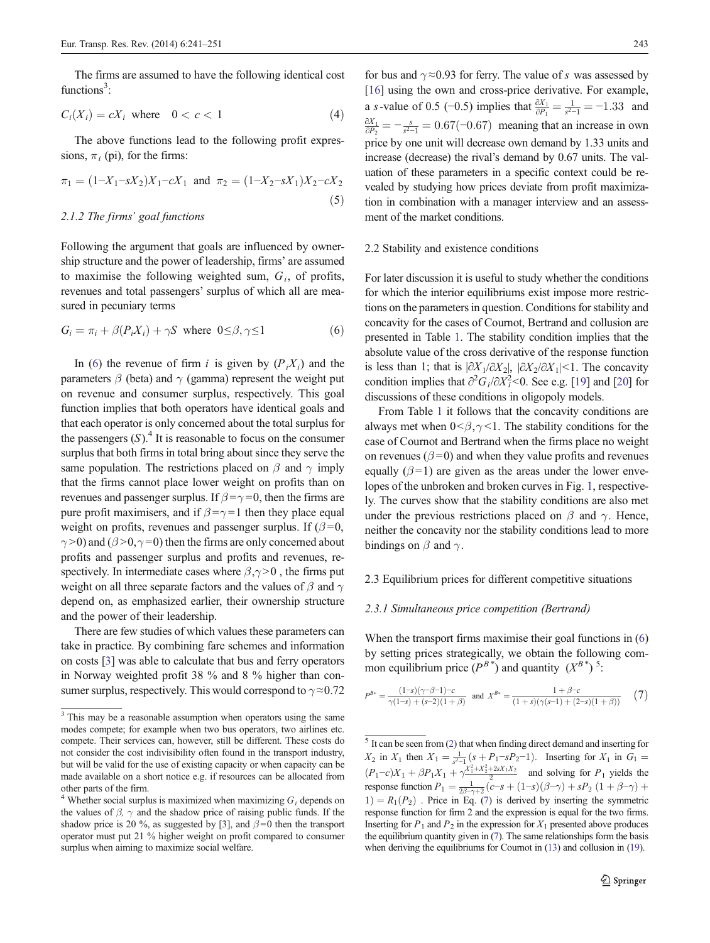<span id="page-2-0"></span>The firms are assumed to have the following identical cost functions<sup>3</sup>:

$$
C_i(X_i) = cX_i \text{ where } 0 < c < 1 \tag{4}
$$

The above functions lead to the following profit expressions,  $\pi_i$  (pi), for the firms:

$$
\pi_1 = (1 - X_1 - sX_2)X_1 - cX_1 \text{ and } \pi_2 = (1 - X_2 - sX_1)X_2 - cX_2
$$
\n(5)

## 2.1.2 The firms' goal functions

Following the argument that goals are influenced by ownership structure and the power of leadership, firms' are assumed to maximise the following weighted sum,  $G_i$ , of profits, revenues and total passengers' surplus of which all are measured in pecuniary terms

$$
G_i = \pi_i + \beta(P_i X_i) + \gamma S \text{ where } 0 \le \beta, \gamma \le 1
$$
 (6)

In (6) the revenue of firm i is given by  $(P_i X_i)$  and the parameters  $\beta$  (beta) and  $\gamma$  (gamma) represent the weight put on revenue and consumer surplus, respectively. This goal function implies that both operators have identical goals and that each operator is only concerned about the total surplus for the passengers  $(S)$ .<sup>4</sup> It is reasonable to focus on the consumer surplus that both firms in total bring about since they serve the same population. The restrictions placed on  $\beta$  and  $\gamma$  imply that the firms cannot place lower weight on profits than on revenues and passenger surplus. If  $\beta = \gamma = 0$ , then the firms are pure profit maximisers, and if  $\beta = \gamma = 1$  then they place equal weight on profits, revenues and passenger surplus. If  $(\beta=0,$  $\gamma$  >0) and ( $\beta$  >0,  $\gamma$  =0) then the firms are only concerned about profits and passenger surplus and profits and revenues, respectively. In intermediate cases where  $\beta$ , $\gamma$  > 0, the firms put weight on all three separate factors and the values of  $\beta$  and  $\gamma$ depend on, as emphasized earlier, their ownership structure and the power of their leadership.

There are few studies of which values these parameters can take in practice. By combining fare schemes and information on costs [\[3](#page-9-0)] was able to calculate that bus and ferry operators in Norway weighted profit 38 % and 8 % higher than consumer surplus, respectively. This would correspond to  $\gamma \approx 0.72$ 

for bus and  $\gamma \approx 0.93$  for ferry. The value of s was assessed by [\[16](#page-10-0)] using the own and cross-price derivative. For example, a *s*-value of 0.5 (−0.5) implies that  $\frac{\partial X_1}{\partial P_1} = \frac{1}{s^2-1} = -1.33$  and  $\frac{\partial X_1}{\partial P_2} = -\frac{s}{s^2-1} = 0.67(-0.67)$  meaning that an increase in own price by one unit will decrease own demand by 1.33 units and increase (decrease) the rival's demand by 0.67 units. The valuation of these parameters in a specific context could be revealed by studying how prices deviate from profit maximization in combination with a manager interview and an assessment of the market conditions.

## 2.2 Stability and existence conditions

For later discussion it is useful to study whether the conditions for which the interior equilibriums exist impose more restrictions on the parameters in question. Conditions for stability and concavity for the cases of Cournot, Bertrand and collusion are presented in Table [1](#page-3-0). The stability condition implies that the absolute value of the cross derivative of the response function is less than 1; that is  $|\partial X_1/\partial X_2|$ ,  $|\partial X_2/\partial X_1|$  < 1. The concavity condition implies that  $\partial^2 G_i / \partial X_i^2 < 0$ . See e.g. [\[19\]](#page-10-0) and [[20](#page-10-0)] for discussions of these conditions in oligopoly models.

From Table [1](#page-3-0) it follows that the concavity conditions are always met when  $0 < \beta, \gamma < 1$ . The stability conditions for the case of Cournot and Bertrand when the firms place no weight on revenues ( $\beta$ =0) and when they value profits and revenues equally  $(\beta = 1)$  are given as the areas under the lower envelopes of the unbroken and broken curves in Fig. [1](#page-3-0), respectively. The curves show that the stability conditions are also met under the previous restrictions placed on  $\beta$  and  $\gamma$ . Hence, neither the concavity nor the stability conditions lead to more bindings on  $\beta$  and  $\gamma$ .

# 2.3 Equilibrium prices for different competitive situations

# 2.3.1 Simultaneous price competition (Bertrand)

When the transport firms maximise their goal functions in  $(6)$ by setting prices strategically, we obtain the following common equilibrium price  $(P^{B^*})$  and quantity  $(X^{B^*})^5$ .

$$
P^{B*} = \frac{(1-s)(\gamma-\beta-1)-c}{\gamma(1-s)+(s-2)(1+\beta)}
$$
 and  $X^{B*} = \frac{1+\beta-c}{(1+s)(\gamma(s-1)+(2-s)(1+\beta))}$  (7)

<sup>&</sup>lt;sup>3</sup> This may be a reasonable assumption when operators using the same modes compete; for example when two bus operators, two airlines etc. compete. Their services can, however, s[til](#page-9-0)l be different. These costs do not consider the cost indivisibility often found in the transport industry, but will be valid for the use of existing capacity or when capacity can be made available on a short notice e.g. if resources can be allocated from other parts of the firm.

<sup>&</sup>lt;sup>4</sup> Whether social surplus is maximized when maximizing  $G_i$  depends on the values of  $\beta$ ,  $\gamma$  and the shadow price of raising public funds. If the shadow price is 20 %, as suggested by [\[3](#page-9-0)], and  $\beta$ =0 then the transport operator must put 21 % higher weight on profit compared to consumer surplus when aiming to maximize social welfare.

 $5$  It can be seen from ([2\)](#page-1-0) that when finding direct demand and inserting for  $X_2$  in  $X_1$  then  $X_1 = \frac{1}{s^2-1} (s + P_1 - sP_2 - 1)$ . Inserting for  $X_1$  in  $G_1 =$  $(P_1 - c)X_1 + \beta P_1X_1 + \gamma \frac{X_1^2 + X_2^2 + 2sX_1X_2}{2}$  and solving for  $P_1$  yields the response function  $P_1 = \frac{1}{2\beta \gamma + 2} (c - s + (1 - s)(\beta - \gamma) + sP_2 (1 + \beta - \gamma) +$ <br>
1) –  $R_1(P_1)$  Price in Eq. (7) is derived by inserting the symmetric  $1) = R_1(P_2)$ . Price in Eq. (7) is derived by inserting the symmetric response function for firm 2 and the expression is equal for the two firms. Inserting for  $P_1$  and  $P_2$  in the expression for  $X_1$  presented above produces the equilibrium quantity given in (7). The same relationships form the basis when deriving the equilibriums for Cournot in ([13\)](#page-3-0) and collusion in ([19\)](#page-4-0).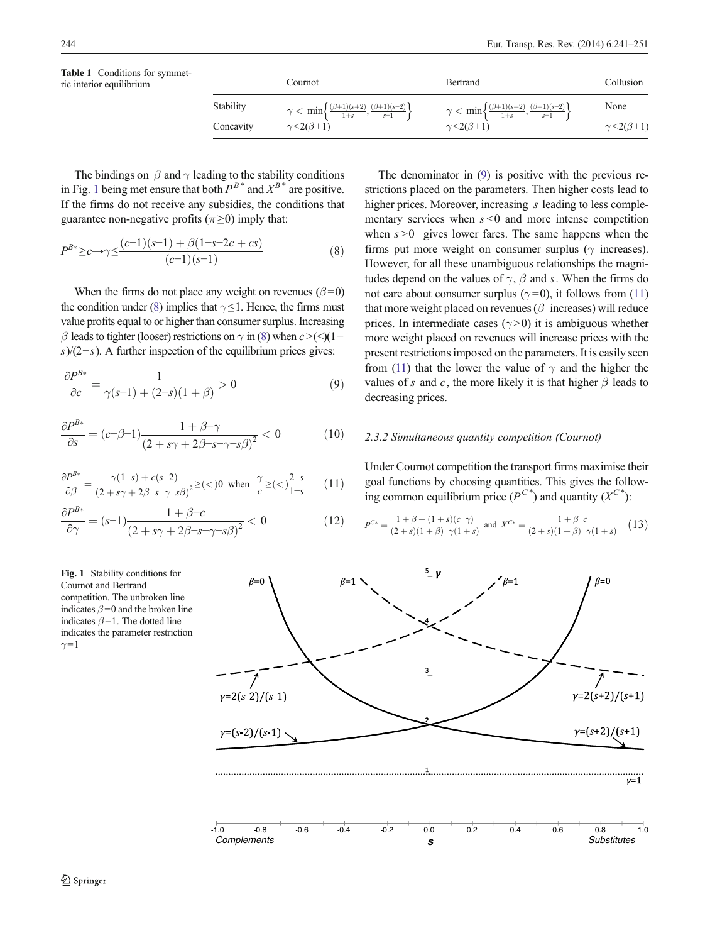|           | Cournot                                                                                                              | <b>Bertrand</b>                                                                                                      | Collusion                 |
|-----------|----------------------------------------------------------------------------------------------------------------------|----------------------------------------------------------------------------------------------------------------------|---------------------------|
| Stability | $\gamma < \min \left\{ \frac{(\beta+1)(s+2)}{1+s}, \frac{(\beta+1)(s-2)}{s-1} \right\}$<br>$\gamma$ < 2( $\beta$ +1) | $\gamma < \min \left\{ \frac{(\beta+1)(s+2)}{1+s}, \frac{(\beta+1)(s-2)}{s-1} \right\}$<br>$\gamma$ < 2( $\beta$ +1) | None                      |
| Concavity |                                                                                                                      |                                                                                                                      | $\gamma$ < 2( $\beta$ +1) |

<span id="page-3-0"></span>The bindings on  $\beta$  and  $\gamma$  leading to the stability conditions in Fig. 1 being met ensure that both  $P^{B*}$  and  $X^{B*}$  are positive. If the firms do not receive any subsidies, the conditions that guarantee non-negative profits ( $\pi \ge 0$ ) imply that:

$$
P^{B*} \ge c \to \gamma \le \frac{(c-1)(s-1) + \beta(1-s-2c+cs)}{(c-1)(s-1)}
$$
(8)

When the firms do not place any weight on revenues ( $\beta$ =0) the condition under (8) implies that  $\gamma \leq 1$ . Hence, the firms must value profits equal to or higher than consumer surplus. Increasing β leads to tighter (looser) restrictions on  $\gamma$  in (8) when  $c > (\leq)(1-\epsilon)$ s)/(2−s). A further inspection of the equilibrium prices gives:

$$
\frac{\partial P^{B*}}{\partial c} = \frac{1}{\gamma(s-1) + (2-s)(1+\beta)} > 0
$$
\n(9)

$$
\frac{\partial P^{B*}}{\partial s} = (c-\beta-1)\frac{1+\beta-\gamma}{\left(2+s\gamma+2\beta-s-\gamma-s\beta\right)^2} < 0 \tag{10}
$$

$$
\frac{\partial P^{B*}}{\partial \beta} = \frac{\gamma(1-s) + c(s-2)}{\left(2 + s\gamma + 2\beta - s - \gamma - s\beta\right)^2} \geq (\langle 0 \text{ when } \frac{\gamma}{c} \geq (\langle 0 \rangle)^{2-s}_{1-s} \tag{11}
$$

$$
\frac{\partial P^{B*}}{\partial \gamma} = (s-1)\frac{1+\beta-c}{\left(2+s\gamma+2\beta-s-\gamma-s\beta\right)^2} < 0\tag{12}
$$

The denominator in (9) is positive with the previous restrictions placed on the parameters. Then higher costs lead to higher prices. Moreover, increasing s leading to less complementary services when  $s < 0$  and more intense competition when  $s > 0$  gives lower fares. The same happens when the firms put more weight on consumer surplus ( $\gamma$  increases). However, for all these unambiguous relationships the magnitudes depend on the values of  $\gamma$ ,  $\beta$  and s. When the firms do not care about consumer surplus ( $\gamma$ =0), it follows from (11) that more weight placed on revenues ( $\beta$  increases) will reduce prices. In intermediate cases ( $\gamma$ >0) it is ambiguous whether more weight placed on revenues will increase prices with the present restrictions imposed on the parameters. It is easily seen from (11) that the lower the value of  $\gamma$  and the higher the values of s and c, the more likely it is that higher  $\beta$  leads to decreasing prices.

# 2.3.2 Simultaneous quantity competition (Cournot)

Under Cournot competition the transport firms maximise their goal functions by choosing quantities. This gives the following common equilibrium price  $(P^{C^*})$  and quantity  $(X^{C^*})$ :

$$
P^{C*} = \frac{1 + \beta + (1 + s)(c - \gamma)}{(2 + s)(1 + \beta) - \gamma(1 + s)} \text{ and } X^{C*} = \frac{1 + \beta - c}{(2 + s)(1 + \beta) - \gamma(1 + s)} \tag{13}
$$



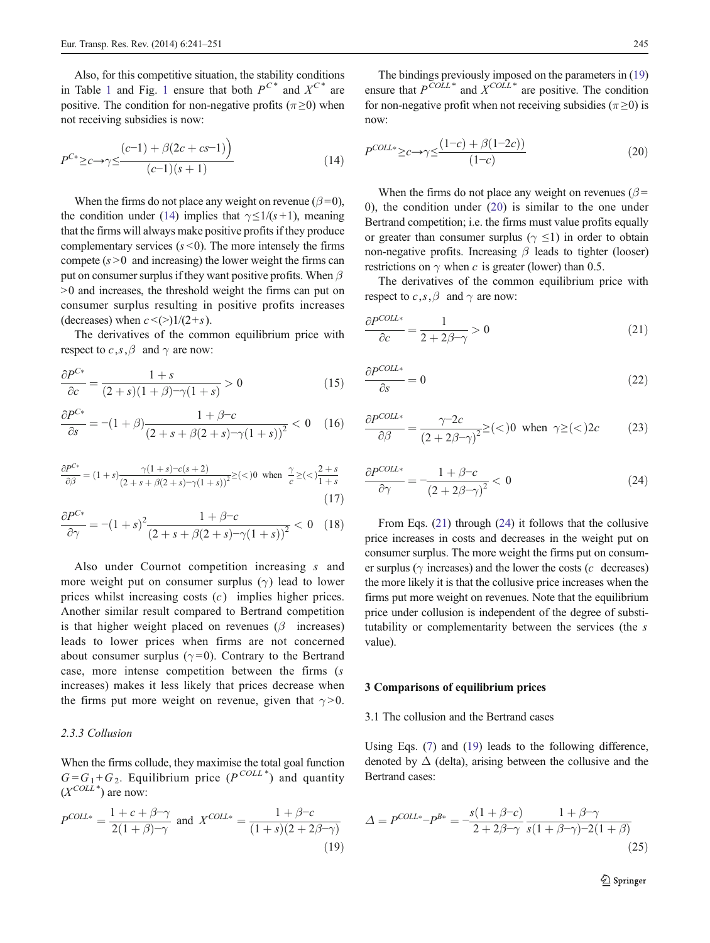<span id="page-4-0"></span>Also, for this competitive situation, the stability conditions in Table [1](#page-3-0) and Fig. 1 ensure that both  $P^{C^*}$  and  $X^{C^*}$  are positive. The condition for non-negative profits ( $\pi \ge 0$ ) when not receiving subsidies is now:

$$
P^{C*} \geq c \to \gamma \leq \frac{(c-1) + \beta(2c + cs - 1)}{(c-1)(s+1)}
$$
\n(14)

When the firms do not place any weight on revenue ( $\beta = 0$ ), the condition under (14) implies that  $\gamma \leq 1/(s+1)$ , meaning that the firms will always make positive profits if they produce complementary services  $(s < 0)$ . The more intensely the firms compete  $(s > 0$  and increasing) the lower weight the firms can put on consumer surplus if they want positive profits. When  $\beta$ >0 and increases, the threshold weight the firms can put on consumer surplus resulting in positive profits increases (decreases) when  $c \leq (>)1/(2+s)$ .

The derivatives of the common equilibrium price with respect to  $c, s, \beta$  and  $\gamma$  are now:

$$
\frac{\partial P^{C*}}{\partial c} = \frac{1+s}{(2+s)(1+\beta)-\gamma(1+s)} > 0
$$
\n(15)

$$
\frac{\partial P^{C*}}{\partial s} = -(1+\beta)\frac{1+\beta-c}{(2+s+\beta(2+s)-\gamma(1+s))^2} < 0 \quad (16)
$$

$$
\frac{\partial P^{C*}}{\partial \beta} = (1+s) \frac{\gamma(1+s) - c(s+2)}{(2+s) - (\gamma(1+s))^2} \geq (-)^0 \text{ when } \frac{\gamma}{c} \geq (-)^1 \frac{2+s}{1+s}
$$
\n(17)

$$
\frac{\partial P^{C*}}{\partial \gamma} = -(1+s)^2 \frac{1+\beta-c}{(2+s+\beta(2+s)-\gamma(1+s))^2} < 0 \quad (18)
$$

Also under Cournot competition increasing s and more weight put on consumer surplus  $(\gamma)$  lead to lower prices whilst increasing costs  $(c)$  implies higher prices. Another similar result compared to Bertrand competition is that higher weight placed on revenues  $(\beta$  increases) leads to lower prices when firms are not concerned about consumer surplus ( $\gamma = 0$ ). Contrary to the Bertrand case, more intense competition between the firms (s increases) makes it less likely that prices decrease when the firms put more weight on revenue, given that  $\gamma > 0$ .

# 2.3.3 Collusion

When the firms collude, they maximise the total goal function  $G = G_1 + G_2$ . Equilibrium price  $(P^{COLL*})$  and quantity  $(X^{COLL^*})$  are now:

$$
P^{COLL*} = \frac{1 + c + \beta - \gamma}{2(1 + \beta) - \gamma}
$$
 and 
$$
X^{COLL*} = \frac{1 + \beta - c}{(1 + s)(2 + 2\beta - \gamma)}
$$
(19)

The bindings previously imposed on the parameters in (19) ensure that  $P^{\overline{COLL}}^*$  and  $X^{\overline{COL}}^*$  are positive. The condition for non-negative profit when not receiving subsidies ( $\pi \ge 0$ ) is now:

$$
P^{COLL*} \ge c \to \gamma \le \frac{(1-c) + \beta(1-2c)}{(1-c)}\tag{20}
$$

When the firms do not place any weight on revenues ( $\beta$  = 0), the condition under (20) is similar to the one under Bertrand competition; i.e. the firms must value profits equally or greater than consumer surplus ( $\gamma \leq 1$ ) in order to obtain non-negative profits. Increasing  $\beta$  leads to tighter (looser) restrictions on  $\gamma$  when c is greater (lower) than 0.5.

The derivatives of the common equilibrium price with respect to  $c, s, \beta$  and  $\gamma$  are now:

$$
\frac{\partial P^{COL\ast}}{\partial c} = \frac{1}{2 + 2\beta - \gamma} > 0
$$
\n(21)

$$
\frac{\partial P^{COLL*}}{\partial s} = 0\tag{22}
$$

$$
\frac{\partial P^{COLL*}}{\partial \beta} = \frac{\gamma - 2c}{\left(2 + 2\beta - \gamma\right)^2} \geq (\langle 0 \text{ when } \gamma \geq (\langle 2z \rangle)
$$
 (23)

$$
\frac{\partial P^{COLL*}}{\partial \gamma} = -\frac{1 + \beta - c}{\left(2 + 2\beta - \gamma\right)^2} < 0\tag{24}
$$

From Eqs. (21) through (24) it follows that the collusive price increases in costs and decreases in the weight put on consumer surplus. The more weight the firms put on consumer surplus ( $\gamma$  increases) and the lower the costs ( $c$  decreases) the more likely it is that the collusive price increases when the firms put more weight on revenues. Note that the equilibrium price under collusion is independent of the degree of substitutability or complementarity between the services (the s value).

## 3 Comparisons of equilibrium prices

## 3.1 The collusion and the Bertrand cases

Using Eqs. [\(7](#page-2-0)) and (19) leads to the following difference, denoted by  $\Delta$  (delta), arising between the collusive and the Bertrand cases:

$$
\Delta = P^{COLk} - P^{B*} = -\frac{s(1+\beta-c)}{2+2\beta-\gamma} \frac{1+\beta-\gamma}{s(1+\beta-\gamma)-2(1+\beta)}\tag{25}
$$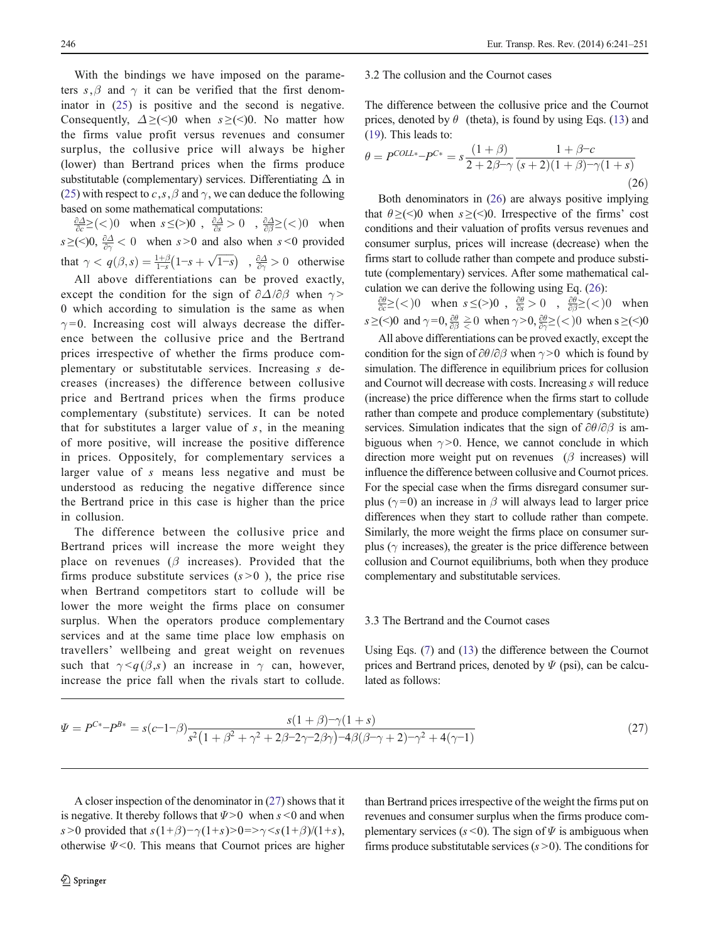<span id="page-5-0"></span>With the bindings we have imposed on the parameters s,  $\beta$  and  $\gamma$  it can be verified that the first denominator in [\(25\)](#page-4-0) is positive and the second is negative. Consequently,  $\Delta \geq (0)$  when  $s \geq (0)$ . No matter how the firms value profit versus revenues and consumer surplus, the collusive price will always be higher (lower) than Bertrand prices when the firms produce substitutable (complementary) services. Differentiating  $\Delta$  in [\(25\)](#page-4-0) with respect to c, s,  $\beta$  and  $\gamma$ , we can deduce the following based on some mathematical computations:

 $\frac{\partial \Delta}{\partial c} \ge (\langle 0 \rangle)$  when  $s \le (\rangle)0$ ,  $\frac{\partial \Delta}{\partial s} > 0$ ,  $\frac{\partial \Delta}{\partial \beta} \ge (\langle 0 \rangle)$  when  $s \geq (-)0$ ,  $\frac{\partial \Delta}{\partial \gamma} < 0$  when  $s > 0$  and also when  $s < 0$  provided that  $\gamma < q(\beta, s) = \frac{1+\beta}{1-s}(1-s+\sqrt{1-s})$ ,  $\frac{\partial \Delta}{\partial \gamma} > 0$  otherwise

All above differentiations can be proved exactly, except the condition for the sign of  $\partial \Delta/\partial \beta$  when  $\gamma$  > 0 which according to simulation is the same as when  $\gamma = 0$ . Increasing cost will always decrease the difference between the collusive price and the Bertrand prices irrespective of whether the firms produce complementary or substitutable services. Increasing s decreases (increases) the difference between collusive price and Bertrand prices when the firms produce complementary (substitute) services. It can be noted that for substitutes a larger value of  $s$ , in the meaning of more positive, will increase the positive difference in prices. Oppositely, for complementary services a larger value of s means less negative and must be understood as reducing the negative difference since the Bertrand price in this case is higher than the price in collusion.

The difference between the collusive price and Bertrand prices will increase the more weight they place on revenues ( $\beta$  increases). Provided that the firms produce substitute services  $(s>0)$ , the price rise when Bertrand competitors start to collude will be lower the more weight the firms place on consumer surplus. When the operators produce complementary services and at the same time place low emphasis on travellers' wellbeing and great weight on revenues such that  $\gamma < q(\beta, s)$  an increase in  $\gamma$  can, however, increase the price fall when the rivals start to collude.

### 3.2 The collusion and the Cournot cases

The difference between the collusive price and the Cournot prices, denoted by  $\theta$  (theta), is found by using Eqs. [\(13](#page-3-0)) and [\(19](#page-4-0)). This leads to:

$$
\theta = P^{COLL*} - P^{C*} = s \frac{(1+\beta)}{2 + 2\beta - \gamma} \frac{1+\beta-c}{(s+2)(1+\beta) - \gamma(1+s)}
$$
\n(26)  
\nBoth denominators in (26) are always positive implying

that  $\theta \geq (\leq)0$  when  $s \geq (\leq)0$ . Irrespective of the firms' cost conditions and their valuation of profits versus revenues and consumer surplus, prices will increase (decrease) when the firms start to collude rather than compete and produce substitute (complementary) services. After some mathematical calculation we can derive the following using Eq. (26):

 $\frac{\partial \theta}{\partial c} \geq (\langle 0 \rangle)$  when  $s \leq (\rangle)0$ ,  $\frac{\partial \theta}{\partial s} > 0$ ,  $\frac{\partial \theta}{\partial \beta} \geq (\langle 0 \rangle)$  when  $s \geq (\leq) 0$  and  $\gamma = 0$ ,  $\frac{\partial \theta}{\partial \beta} \geq 0$  when  $\gamma > 0$ ,  $\frac{\partial \theta}{\partial \gamma} \geq (\leq) 0$  when  $s \geq (\leq) 0$ 

All above differentiations can be proved exactly, except the condition for the sign of  $\partial\theta/\partial\beta$  when  $\gamma > 0$  which is found by simulation. The difference in equilibrium prices for collusion and Cournot will decrease with costs. Increasing s will reduce (increase) the price difference when the firms start to collude rather than compete and produce complementary (substitute) services. Simulation indicates that the sign of  $\partial\theta/\partial\beta$  is ambiguous when  $\gamma > 0$ . Hence, we cannot conclude in which direction more weight put on revenues  $(\beta$  increases) will influence the difference between collusive and Cournot prices. For the special case when the firms disregard consumer surplus ( $\gamma$ =0) an increase in  $\beta$  will always lead to larger price differences when they start to collude rather than compete. Similarly, the more weight the firms place on consumer surplus ( $\gamma$  increases), the greater is the price difference between collusion and Cournot equilibriums, both when they produce complementary and substitutable services.

## 3.3 The Bertrand and the Cournot cases

Using Eqs. [\(7](#page-2-0)) and [\(13\)](#page-3-0) the difference between the Cournot prices and Bertrand prices, denoted by  $\Psi$  (psi), can be calculated as follows:

$$
\Psi = P^{C*} - P^{B*} = s(c - 1 - \beta) \frac{s(1 + \beta) - \gamma(1 + s)}{s^2 (1 + \beta^2 + \gamma^2 + 2\beta - 2\gamma - 2\beta\gamma) - 4\beta(\beta - \gamma + 2) - \gamma^2 + 4(\gamma - 1)}
$$
\n(27)

A closer inspection of the denominator in (27) shows that it is negative. It thereby follows that  $\Psi > 0$  when s <0 and when s >0 provided that  $s(1+\beta)-\gamma(1+s)$ >0=> $\gamma \leq s(1+\beta)/(1+s)$ , otherwise  $\Psi$ <0. This means that Cournot prices are higher

 $\underline{\textcircled{\tiny 2}}$  Springer

than Bertrand prices irrespective of the weight the firms put on revenues and consumer surplus when the firms produce complementary services ( $s$  < 0). The sign of  $\Psi$  is ambiguous when firms produce substitutable services  $(s > 0)$ . The conditions for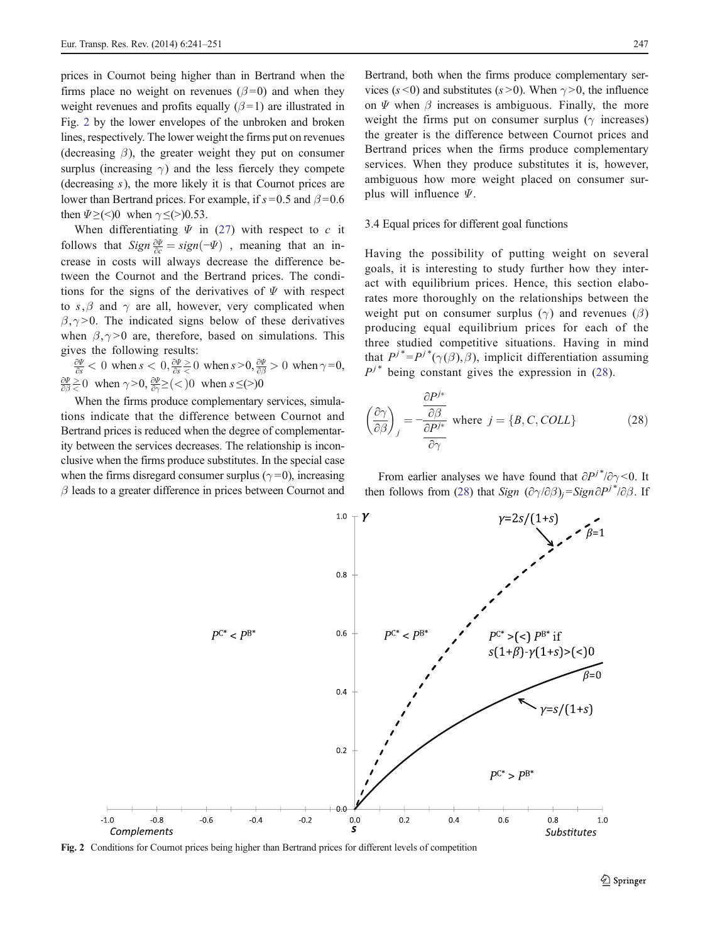<span id="page-6-0"></span>prices in Cournot being higher than in Bertrand when the firms place no weight on revenues ( $\beta$ =0) and when they weight revenues and profits equally  $(\beta = 1)$  are illustrated in Fig. 2 by the lower envelopes of the unbroken and broken lines, respectively. The lower weight the firms put on revenues (decreasing  $\beta$ ), the greater weight they put on consumer surplus (increasing  $\gamma$ ) and the less fiercely they compete (decreasing  $s$ ), the more likely it is that Cournot prices are lower than Bertrand prices. For example, if  $s = 0.5$  and  $\beta = 0.6$ then  $\Psi \geq (\leq) 0$  when  $\gamma \leq (\geq) 0.53$ .

When differentiating  $\Psi$  in ([27\)](#page-5-0) with respect to c it follows that  $Sign \frac{\partial \Psi}{\partial c} = sign(-\Psi)$ , meaning that an in-<br>crosses in easte will always decrease the difference be crease in costs will always decrease the difference between the Cournot and the Bertrand prices. The conditions for the signs of the derivatives of  $\Psi$  with respect to s, $\beta$  and  $\gamma$  are all, however, very complicated when  $\beta$ ,  $\gamma$  > 0. The indicated signs below of these derivatives when  $\beta, \gamma > 0$  are, therefore, based on simulations. This gives the following results:

 $\frac{\partial \Psi}{\partial s}$  < 0 when  $s < 0$ ,  $\frac{\partial \Psi}{\partial s} \ge 0$  when  $s > 0$ ,  $\frac{\partial \Psi}{\partial \beta} > 0$  when  $\gamma = 0$ ,  $\frac{\partial \Psi}{\partial \beta} \ge 0$  when  $\gamma > 0$ ,  $\frac{\partial \Psi}{\partial \gamma} \ge ($  > 0 when  $s \le ($  > 0

When the firms produce complementary services, simulations indicate that the difference between Cournot and Bertrand prices is reduced when the degree of complementarity between the services decreases. The relationship is inconclusive when the firms produce substitutes. In the special case when the firms disregard consumer surplus ( $\gamma$ =0), increasing  $\beta$  leads to a greater difference in prices between Cournot and

Bertrand, both when the firms produce complementary services (s < 0) and substitutes (s > 0). When  $\gamma$  > 0, the influence on  $\Psi$  when  $\beta$  increases is ambiguous. Finally, the more weight the firms put on consumer surplus ( $\gamma$  increases) the greater is the difference between Cournot prices and Bertrand prices when the firms produce complementary services. When they produce substitutes it is, however, ambiguous how more weight placed on consumer surplus will influence  $\Psi$ .

## 3.4 Equal prices for different goal functions

Having the possibility of putting weight on several goals, it is interesting to study further how they interact with equilibrium prices. Hence, this section elaborates more thoroughly on the relationships between the weight put on consumer surplus ( $\gamma$ ) and revenues ( $\beta$ ) producing equal equilibrium prices for each of the three studied competitive situations. Having in mind that  $P^{j*} = P^{j*}(\gamma(\beta), \beta)$ , implicit differentiation assuming  $P^{j*}$  being constant gives the expression in (28).

$$
\left(\frac{\partial \gamma}{\partial \beta}\right)_j = -\frac{\frac{\partial P^{j*}}{\partial \beta}}{\frac{\partial P^{j*}}{\partial \gamma}} \text{ where } j = \{B, C, COLL\}
$$
\n(28)

From earlier analyses we have found that  $\partial P^{j*}/\partial \gamma$  < 0. It then follows from (28) that Sign  $(\partial \gamma / \partial \beta)_j =$ Sign $\partial P^{j*}/\partial \beta$ . If



Fig. 2 Conditions for Cournot prices being higher than Bertrand prices for different levels of competition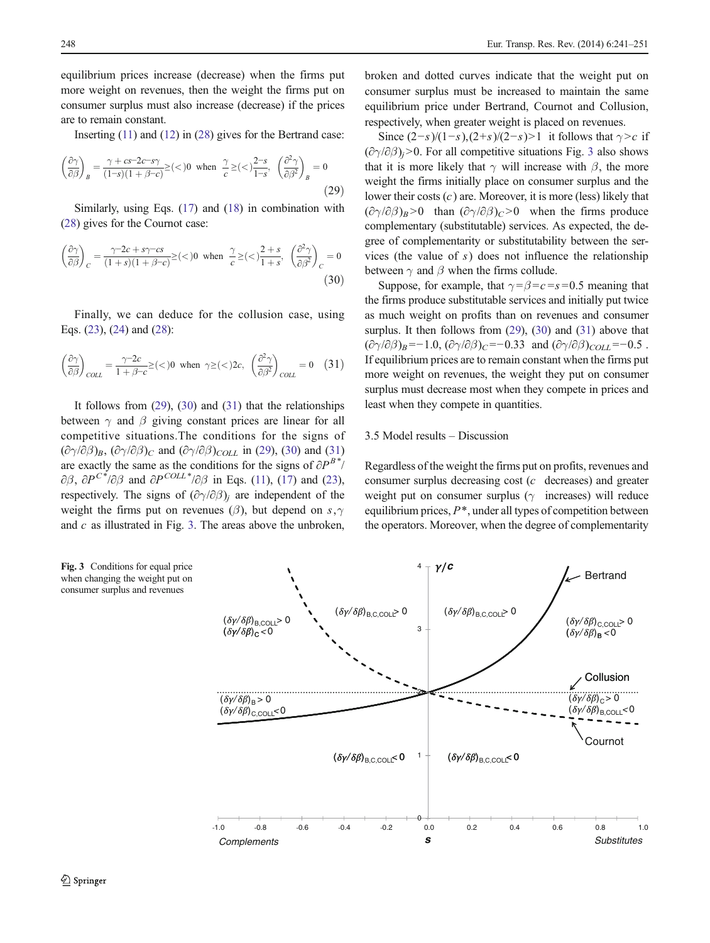equilibrium prices increase (decrease) when the firms put more weight on revenues, then the weight the firms put on consumer surplus must also increase (decrease) if the prices are to remain constant.

Inserting [\(11\)](#page-3-0) and [\(12](#page-3-0)) in [\(28](#page-6-0)) gives for the Bertrand case:

$$
\left(\frac{\partial \gamma}{\partial \beta}\right)_B = \frac{\gamma + cs - 2c - s\gamma}{(1-s)(1+\beta-c)} \geq (<0 \text{ when } \frac{\gamma}{c} \geq (<)\frac{2-s}{1-s}, \left(\frac{\partial^2 \gamma}{\partial \beta^2}\right)_B = 0
$$
\n(29)

(29)<br>Similarly, using Eqs. [\(17\)](#page-4-0) and [\(18\)](#page-4-0) in combination with [\(28\)](#page-6-0) gives for the Cournot case:

$$
\left(\frac{\partial \gamma}{\partial \beta}\right)_C = \frac{\gamma - 2c + s\gamma - cs}{(1+s)(1+\beta-c)} \geq (\langle \gamma \rangle)^2 \quad \text{when} \quad \frac{\gamma}{c} \geq (\langle \gamma \rangle)^2 + s^2, \quad \left(\frac{\partial^2 \gamma}{\partial \beta^2}\right)_C = 0
$$
\n
$$
\tag{30}
$$

Finally, we can deduce for the collusion case, using Eqs. ([23\)](#page-4-0), ([24\)](#page-4-0) and [\(28](#page-6-0)):

$$
\left(\frac{\partial \gamma}{\partial \beta}\right)_{COLL} = \frac{\gamma - 2c}{1 + \beta - c} \ge (\langle 0 \text{ when } \gamma \ge (\langle 2c, \frac{\partial^2 \gamma}{\partial \beta^2}\rangle_{COLL}) = 0 \quad (31)
$$

It follows from  $(29)$ ,  $(30)$  and  $(31)$  that the relationships between  $\gamma$  and  $\beta$  giving constant prices are linear for all competitive situations.The conditions for the signs of  $(\partial \gamma/\partial \beta)_B$ ,  $(\partial \gamma/\partial \beta)_C$  and  $(\partial \gamma/\partial \beta)_{COLL}$  in (29), (30) and (31) are exactly the same as the conditions for the signs of  $\partial P^{B*}/\partial P^{B*}$  $\partial \beta$ ,  $\partial P^{C^*}/\partial \beta$  and  $\partial P^{COLL^*}/\partial \beta$  in Eqs. [\(11](#page-3-0)), [\(17\)](#page-4-0) and ([23\)](#page-4-0), respectively. The signs of  $(\partial \gamma/\partial \beta)_i$  are independent of the weight the firms put on revenues ( $\beta$ ), but depend on s,  $\gamma$ and  $c$  as illustrated in Fig. 3. The areas above the unbroken,

broken and dotted curves indicate that the weight put on consumer surplus must be increased to maintain the same equilibrium price under Bertrand, Cournot and Collusion, respectively, when greater weight is placed on revenues.

Since  $(2-s)/(1-s)$ , $(2+s)/(2-s)$ >1 it follows that  $\gamma > c$  if  $(\partial \gamma / \partial \beta)$ <sub>i</sub>>0. For all competitive situations Fig. 3 also shows that it is more likely that  $\gamma$  will increase with  $\beta$ , the more weight the firms initially place on consumer surplus and the lower their costs  $(c)$  are. Moreover, it is more (less) likely that  $(\partial \gamma/\partial \beta)_B > 0$  than  $(\partial \gamma/\partial \beta)_C > 0$  when the firms produce complementary (substitutable) services. As expected, the degree of complementarity or substitutability between the services (the value of s) does not influence the relationship between  $\gamma$  and  $\beta$  when the firms collude.

Suppose, for example, that  $\gamma = \beta = c = s = 0.5$  meaning that the firms produce substitutable services and initially put twice as much weight on profits than on revenues and consumer surplus. It then follows from  $(29)$ ,  $(30)$  and  $(31)$  above that  $(\partial \gamma/\partial \beta)_B = -1.0$ ,  $(\partial \gamma/\partial \beta)_C = -0.33$  and  $(\partial \gamma/\partial \beta)_{COLL} = -0.5$ . If equilibrium prices are to remain constant when the firms put more weight on revenues, the weight they put on consumer surplus must decrease most when they compete in prices and least when they compete in quantities.

## 3.5 Model results – Discussion

Regardless of the weight the firms put on profits, revenues and consumer surplus decreasing cost (c decreases) and greater weight put on consumer surplus ( $\gamma$  increases) will reduce equilibrium prices,  $P^*$ , under all types of competition between the operators. Moreover, when the degree of complementarity



Fig. 3 Conditions for equal price when changing the weight put on consumer surplus and revenues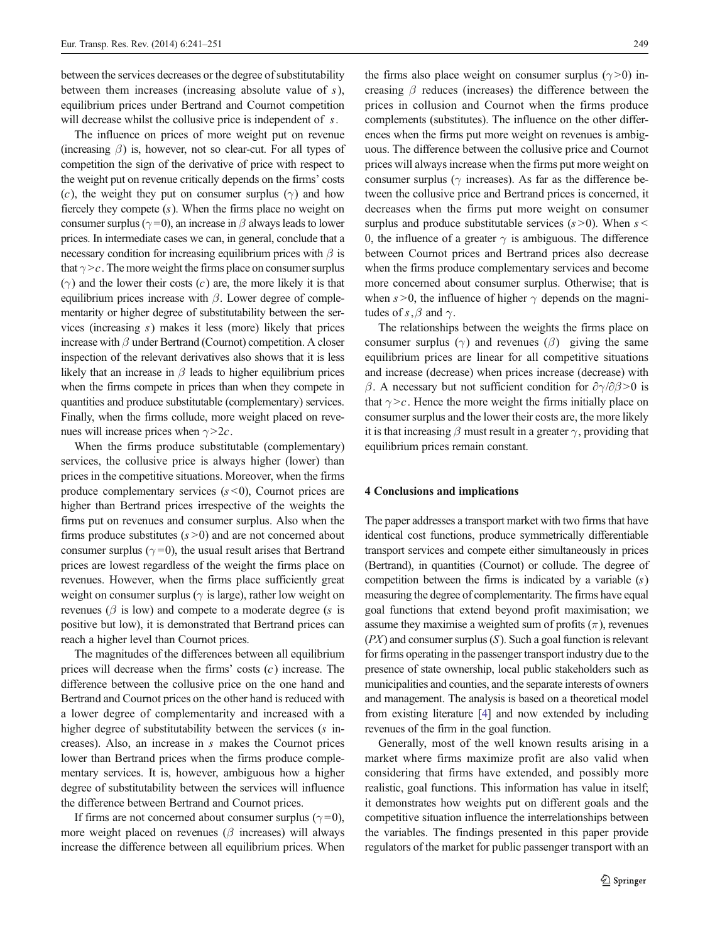<span id="page-8-0"></span>between the services decreases or the degree of substitutability between them increases (increasing absolute value of  $s$ ), equilibrium prices under Bertrand and Cournot competition will decrease whilst the collusive price is independent of s.

The influence on prices of more weight put on revenue (increasing  $\beta$ ) is, however, not so clear-cut. For all types of competition the sign of the derivative of price with respect to the weight put on revenue critically depends on the firms' costs (c), the weight they put on consumer surplus ( $\gamma$ ) and how fiercely they compete  $(s)$ . When the firms place no weight on consumer surplus ( $\gamma$ =0), an increase in  $\beta$  always leads to lower prices. In intermediate cases we can, in general, conclude that a necessary condition for increasing equilibrium prices with  $\beta$  is that  $\gamma > c$ . The more weight the firms place on consumer surplus  $(\gamma)$  and the lower their costs  $(c)$  are, the more likely it is that equilibrium prices increase with  $\beta$ . Lower degree of complementarity or higher degree of substitutability between the services (increasing s) makes it less (more) likely that prices increase with  $\beta$  under Bertrand (Cournot) competition. A closer inspection of the relevant derivatives also shows that it is less likely that an increase in  $\beta$  leads to higher equilibrium prices when the firms compete in prices than when they compete in quantities and produce substitutable (complementary) services. Finally, when the firms collude, more weight placed on revenues will increase prices when  $\gamma > 2c$ .

When the firms produce substitutable (complementary) services, the collusive price is always higher (lower) than prices in the competitive situations. Moreover, when the firms produce complementary services  $(s < 0)$ , Cournot prices are higher than Bertrand prices irrespective of the weights the firms put on revenues and consumer surplus. Also when the firms produce substitutes  $(s>0)$  and are not concerned about consumer surplus ( $\gamma$ =0), the usual result arises that Bertrand prices are lowest regardless of the weight the firms place on revenues. However, when the firms place sufficiently great weight on consumer surplus ( $\gamma$  is large), rather low weight on revenues ( $\beta$  is low) and compete to a moderate degree (s is positive but low), it is demonstrated that Bertrand prices can reach a higher level than Cournot prices.

The magnitudes of the differences between all equilibrium prices will decrease when the firms' costs  $(c)$  increase. The difference between the collusive price on the one hand and Bertrand and Cournot prices on the other hand is reduced with a lower degree of complementarity and increased with a higher degree of substitutability between the services (s increases). Also, an increase in s makes the Cournot prices lower than Bertrand prices when the firms produce complementary services. It is, however, ambiguous how a higher degree of substitutability between the services will influence the difference between Bertrand and Cournot prices.

If firms are not concerned about consumer surplus ( $\gamma = 0$ ), more weight placed on revenues ( $\beta$  increases) will always increase the difference between all equilibrium prices. When

the firms also place weight on consumer surplus  $(\gamma > 0)$  increasing  $\beta$  reduces (increases) the difference between the prices in collusion and Cournot when the firms produce complements (substitutes). The influence on the other differences when the firms put more weight on revenues is ambiguous. The difference between the collusive price and Cournot prices will always increase when the firms put more weight on consumer surplus ( $\gamma$  increases). As far as the difference between the collusive price and Bertrand prices is concerned, it decreases when the firms put more weight on consumer surplus and produce substitutable services  $(s > 0)$ . When s 0, the influence of a greater  $\gamma$  is ambiguous. The difference between Cournot prices and Bertrand prices also decrease when the firms produce complementary services and become more concerned about consumer surplus. Otherwise; that is when  $s > 0$ , the influence of higher  $\gamma$  depends on the magnitudes of s,  $\beta$  and  $\gamma$ .

The relationships between the weights the firms place on consumer surplus ( $\gamma$ ) and revenues ( $\beta$ ) giving the same equilibrium prices are linear for all competitive situations and increase (decrease) when prices increase (decrease) with β. A necessary but not sufficient condition for  $\partial \gamma / \partial \beta > 0$  is that  $\gamma > c$ . Hence the more weight the firms initially place on consumer surplus and the lower their costs are, the more likely it is that increasing  $\beta$  must result in a greater  $\gamma$ , providing that equilibrium prices remain constant.

### 4 Conclusions and implications

The paper addresses a transport market with two firms that have identical cost functions, produce symmetrically differentiable transport services and compete either simultaneously in prices (Bertrand), in quantities (Cournot) or collude. The degree of competition between the firms is indicated by a variable  $(s)$ measuring the degree of complementarity. The firms have equal goal functions that extend beyond profit maximisation; we assume they maximise a weighted sum of profits  $(\pi)$ , revenues  $(PX)$  and consumer surplus  $(S)$ . Such a goal function is relevant for firms operating in the passenger transport industry due to the presence of state ownership, local public stakeholders such as municipalities and counties, and the separate interests of owners and management. The analysis is based on a theoretical model from existing literature [\[4](#page-9-0)] and now extended by including revenues of the firm in the goal function.

Generally, most of the well known results arising in a market where firms maximize profit are also valid when considering that firms have extended, and possibly more realistic, goal functions. This information has value in itself; it demonstrates how weights put on different goals and the competitive situation influence the interrelationships between the variables. The findings presented in this paper provide regulators of the market for public passenger transport with an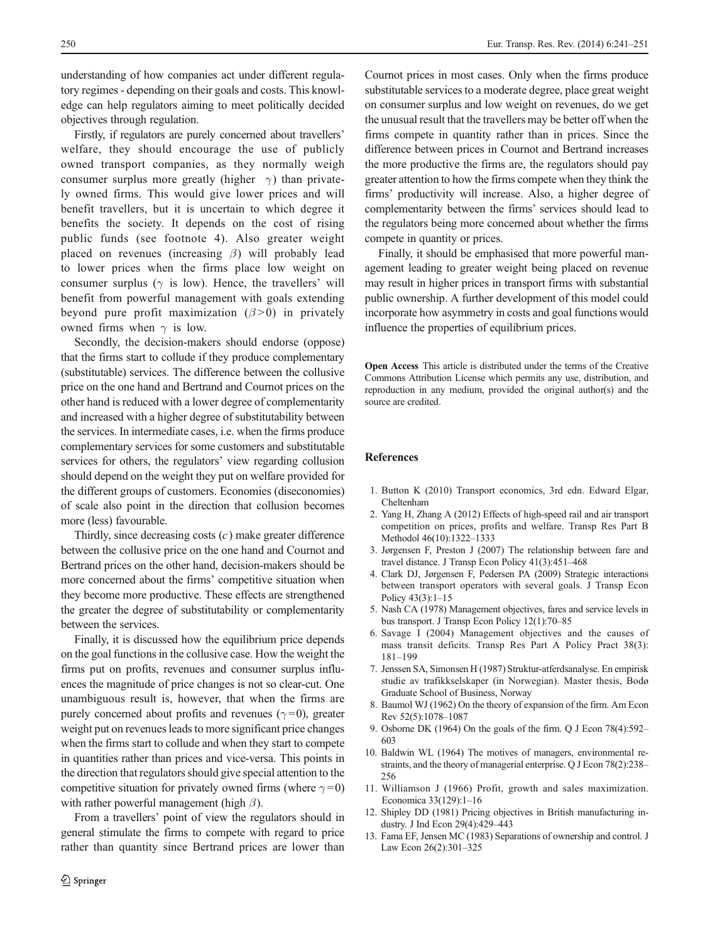<span id="page-9-0"></span>understanding of how companies act under different regulatory regimes - depending on their goals and costs. This knowledge can help regulators aiming to meet politically decided objectives through regulation.

Firstly, if regulators are purely concerned about travellers' welfare, they should encourage the use of publicly owned transport companies, as they normally weigh consumer surplus more greatly (higher  $\gamma$ ) than privately owned firms. This would give lower prices and will benefit travellers, but it is uncertain to which degree it benefits the society. It depends on the cost of rising public funds (see footnote 4). Also greater weight placed on revenues (increasing  $\beta$ ) will probably lead to lower prices when the firms place low weight on consumer surplus ( $\gamma$  is low). Hence, the travellers' will benefit from powerful management with goals extending beyond pure profit maximization  $(\beta > 0)$  in privately owned firms when  $\gamma$  is low.

Secondly, the decision-makers should endorse (oppose) that the firms start to collude if they produce complementary (substitutable) services. The difference between the collusive price on the one hand and Bertrand and Cournot prices on the other hand is reduced with a lower degree of complementarity and increased with a higher degree of substitutability between the services. In intermediate cases, i.e. when the firms produce complementary services for some customers and substitutable services for others, the regulators' view regarding collusion should depend on the weight they put on welfare provided for the different groups of customers. Economies (diseconomies) of scale also point in the direction that collusion becomes more (less) favourable.

Thirdly, since decreasing costs  $(c)$  make greater difference between the collusive price on the one hand and Cournot and Bertrand prices on the other hand, decision-makers should be more concerned about the firms' competitive situation when they become more productive. These effects are strengthened the greater the degree of substitutability or complementarity between the services.

Finally, it is discussed how the equilibrium price depends on the goal functions in the collusive case. How the weight the firms put on profits, revenues and consumer surplus influences the magnitude of price changes is not so clear-cut. One unambiguous result is, however, that when the firms are purely concerned about profits and revenues ( $\gamma$ =0), greater weight put on revenues leads to more significant price changes when the firms start to collude and when they start to compete in quantities rather than prices and vice-versa. This points in the direction that regulators should give special attention to the competitive situation for privately owned firms (where  $\gamma = 0$ ) with rather powerful management (high  $\beta$ ).

From a travellers' point of view the regulators should in general stimulate the firms to compete with regard to price rather than quantity since Bertrand prices are lower than Cournot prices in most cases. Only when the firms produce substitutable services to a moderate degree, place great weight on consumer surplus and low weight on revenues, do we get the unusual result that the travellers may be better off when the firms compete in quantity rather than in prices. Since the difference between prices in Cournot and Bertrand increases the more productive the firms are, the regulators should pay greater attention to how the firms compete when they think the firms' productivity will increase. Also, a higher degree of complementarity between the firms' services should lead to the regulators being more concerned about whether the firms compete in quantity or prices.

Finally, it should be emphasised that more powerful management leading to greater weight being placed on revenue may result in higher prices in transport firms with substantial public ownership. A further development of this model could incorporate how asymmetry in costs and goal functions would influence the properties of equilibrium prices.

Open Access This article is distributed under the terms of the Creative Commons Attribution License which permits any use, distribution, and reproduction in any medium, provided the original author(s) and the source are credited.

### References

- 1. Button K (2010) Transport economics, 3rd edn. Edward Elgar, Cheltenham
- 2. Yang H, Zhang A (2012) Effects of high-speed rail and air transport competition on prices, profits and welfare. Transp Res Part B Methodol 46(10):1322–1333
- 3. Jørgensen F, Preston J (2007) The relationship between fare and travel distance. J Transp Econ Policy 41(3):451–468
- 4. Clark DJ, Jørgensen F, Pedersen PA (2009) Strategic interactions between transport operators with several goals. J Transp Econ Policy 43(3):1–15
- 5. Nash CA (1978) Management objectives, fares and service levels in bus transport. J Transp Econ Policy 12(1):70–85
- 6. Savage I (2004) Management objectives and the causes of mass transit deficits. Transp Res Part A Policy Pract 38(3): 181–199
- 7. Jenssen SA, Simonsen H (1987) Struktur-atferdsanalyse. En empirisk studie av trafikkselskaper (in Norwegian). Master thesis, Bodø Graduate School of Business, Norway
- 8. Baumol WJ (1962) On the theory of expansion of the firm. Am Econ Rev 52(5):1078–1087
- 9. Osborne DK (1964) On the goals of the firm. Q J Econ 78(4):592– 603
- 10. Baldwin WL (1964) The motives of managers, environmental restraints, and the theory of managerial enterprise. Q J Econ 78(2):238– 256
- 11. Williamson J (1966) Profit, growth and sales maximization. Economica 33(129):1–16
- 12. Shipley DD (1981) Pricing objectives in British manufacturing industry. J Ind Econ 29(4):429–443
- 13. Fama EF, Jensen MC (1983) Separations of ownership and control. J Law Econ 26(2):301–325